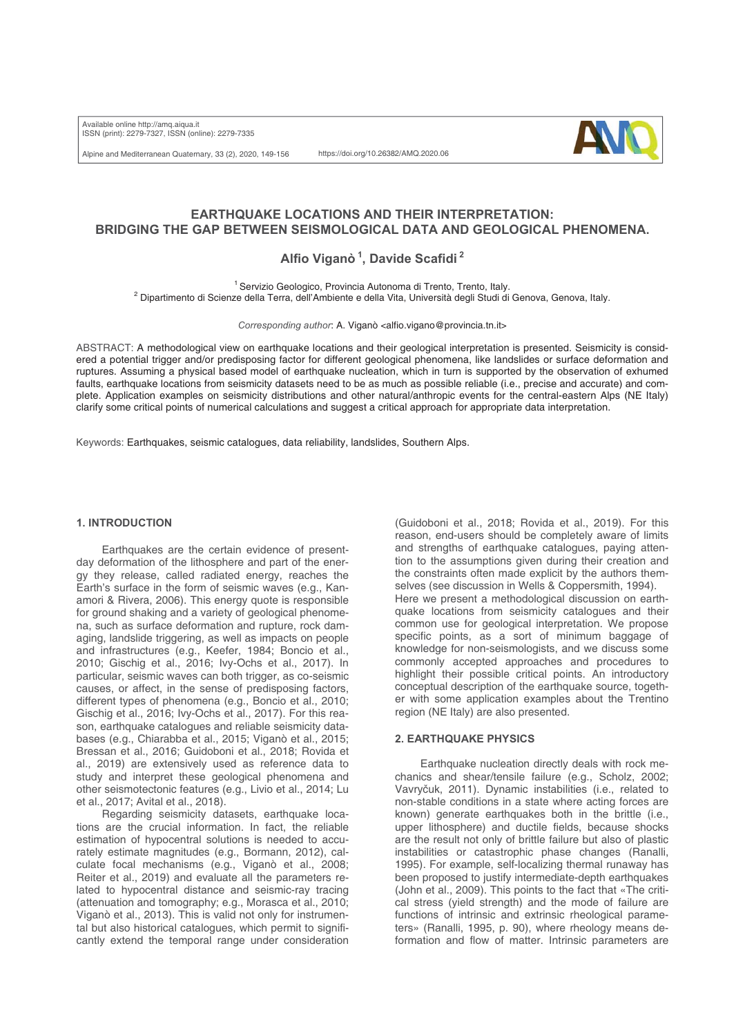Available online http://amq.aiqua.it ISSN (print): 2279-7327, ISSN (online): 2279-7335

Alpine and Mediterranean Quaternary, 33 (2), 2020, 149-156

https://doi.org/10.26382/AMQ.2020.06



# **EARTHQUAKE LOCATIONS AND THEIR INTERPRETATION: BRIDGING THE GAP BETWEEN SEISMOLOGICAL DATA AND GEOLOGICAL PHENOMENA.**

**Alfio Viganò 1, Davide Scafidi 2**

<sup>2</sup> Dipartimento di Scienze della Terra, dell'Ambiente a dutonoma di Trento, Trento, Italy.<br><sup>2</sup> Dipartimento di Scienze della Terra, dell'Ambiente e della Vita, Università degli Studi di Genova, Genova, Italy.

*Corresponding author*: A. Viganò <alfio.vigano@provincia.tn.it>

ABSTRACT: A methodological view on earthquake locations and their geological interpretation is presented. Seismicity is considered a potential trigger and/or predisposing factor for different geological phenomena, like landslides or surface deformation and ruptures. Assuming a physical based model of earthquake nucleation, which in turn is supported by the observation of exhumed faults, earthquake locations from seismicity datasets need to be as much as possible reliable (i.e., precise and accurate) and complete. Application examples on seismicity distributions and other natural/anthropic events for the central-eastern Alps (NE Italy) clarify some critical points of numerical calculations and suggest a critical approach for appropriate data interpretation.

Keywords: Earthquakes, seismic catalogues, data reliability, landslides, Southern Alps.

### **1. INTRODUCTION**

Earthquakes are the certain evidence of presentday deformation of the lithosphere and part of the energy they release, called radiated energy, reaches the Earth's surface in the form of seismic waves (e.g., Kanamori & Rivera, 2006). This energy quote is responsible for ground shaking and a variety of geological phenomena, such as surface deformation and rupture, rock damaging, landslide triggering, as well as impacts on people and infrastructures (e.g., Keefer, 1984; Boncio et al., 2010; Gischig et al., 2016; Ivy-Ochs et al., 2017). In particular, seismic waves can both trigger, as co-seismic causes, or affect, in the sense of predisposing factors, different types of phenomena (e.g., Boncio et al., 2010; Gischig et al., 2016; Ivy-Ochs et al., 2017). For this reason, earthquake catalogues and reliable seismicity databases (e.g., Chiarabba et al., 2015; Viganò et al., 2015; Bressan et al., 2016; Guidoboni et al., 2018; Rovida et al., 2019) are extensively used as reference data to study and interpret these geological phenomena and other seismotectonic features (e.g., Livio et al., 2014; Lu et al., 2017; Avital et al., 2018).

Regarding seismicity datasets, earthquake locations are the crucial information. In fact, the reliable estimation of hypocentral solutions is needed to accurately estimate magnitudes (e.g., Bormann, 2012), calculate focal mechanisms (e.g., Viganò et al., 2008; Reiter et al., 2019) and evaluate all the parameters related to hypocentral distance and seismic-ray tracing (attenuation and tomography; e.g., Morasca et al., 2010; Viganò et al., 2013). This is valid not only for instrumental but also historical catalogues, which permit to significantly extend the temporal range under consideration

(Guidoboni et al., 2018; Rovida et al., 2019). For this reason, end-users should be completely aware of limits and strengths of earthquake catalogues, paying attention to the assumptions given during their creation and the constraints often made explicit by the authors themselves (see discussion in Wells & Coppersmith, 1994). Here we present a methodological discussion on earthquake locations from seismicity catalogues and their common use for geological interpretation. We propose specific points, as a sort of minimum baggage of knowledge for non-seismologists, and we discuss some commonly accepted approaches and procedures to highlight their possible critical points. An introductory conceptual description of the earthquake source, together with some application examples about the Trentino region (NE Italy) are also presented.

### **2. EARTHQUAKE PHYSICS**

Earthquake nucleation directly deals with rock mechanics and shear/tensile failure (e.g., Scholz, 2002; Vavryčuk, 2011). Dynamic instabilities (i.e., related to non-stable conditions in a state where acting forces are known) generate earthquakes both in the brittle (i.e., upper lithosphere) and ductile fields, because shocks are the result not only of brittle failure but also of plastic instabilities or catastrophic phase changes (Ranalli, 1995). For example, self-localizing thermal runaway has been proposed to justify intermediate-depth earthquakes (John et al., 2009). This points to the fact that «The critical stress (yield strength) and the mode of failure are functions of intrinsic and extrinsic rheological parameters» (Ranalli, 1995, p. 90), where rheology means deformation and flow of matter. Intrinsic parameters are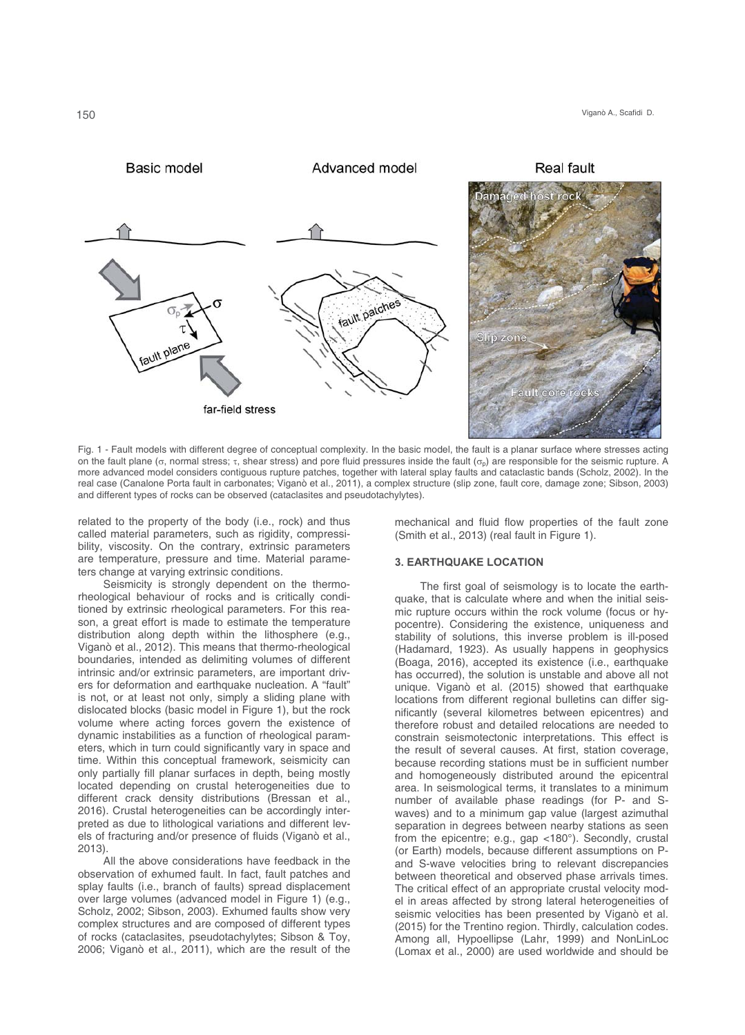

Fig. 1 - Fault models with different degree of conceptual complexity. In the basic model, the fault is a planar surface where stresses acting on the fault plane ( $\sigma$ , normal stress;  $\tau$ , shear stress) and pore fluid pressures inside the fault ( $\sigma_p$ ) are responsible for the seismic rupture. A more advanced model considers contiguous rupture patches, together with lateral splay faults and cataclastic bands (Scholz, 2002). In the real case (Canalone Porta fault in carbonates; Viganò et al., 2011), a complex structure (slip zone, fault core, damage zone; Sibson, 2003) and different types of rocks can be observed (cataclasites and pseudotachylytes).

related to the property of the body (i.e., rock) and thus called material parameters, such as rigidity, compressibility, viscosity. On the contrary, extrinsic parameters are temperature, pressure and time. Material parameters change at varying extrinsic conditions.

Seismicity is strongly dependent on the thermorheological behaviour of rocks and is critically conditioned by extrinsic rheological parameters. For this reason, a great effort is made to estimate the temperature distribution along depth within the lithosphere (e.g., Viganò et al., 2012). This means that thermo-rheological boundaries, intended as delimiting volumes of different intrinsic and/or extrinsic parameters, are important drivers for deformation and earthquake nucleation. A "fault" is not, or at least not only, simply a sliding plane with dislocated blocks (basic model in Figure 1), but the rock volume where acting forces govern the existence of dynamic instabilities as a function of rheological parameters, which in turn could significantly vary in space and time. Within this conceptual framework, seismicity can only partially fill planar surfaces in depth, being mostly located depending on crustal heterogeneities due to different crack density distributions (Bressan et al., 2016). Crustal heterogeneities can be accordingly interpreted as due to lithological variations and different levels of fracturing and/or presence of fluids (Viganò et al., 2013)

All the above considerations have feedback in the observation of exhumed fault. In fact, fault patches and splay faults (i.e., branch of faults) spread displacement over large volumes (advanced model in Figure 1) (e.g., Scholz, 2002; Sibson, 2003). Exhumed faults show very complex structures and are composed of different types of rocks (cataclasites, pseudotachylytes; Sibson & Toy, 2006; Viganò et al., 2011), which are the result of the

mechanical and fluid flow properties of the fault zone (Smith et al., 2013) (real fault in Figure 1).

### **3. EARTHQUAKE LOCATION**

The first goal of seismology is to locate the earthquake, that is calculate where and when the initial seismic rupture occurs within the rock volume (focus or hypocentre). Considering the existence, uniqueness and stability of solutions, this inverse problem is ill-posed (Hadamard, 1923). As usually happens in geophysics (Boaga, 2016), accepted its existence (i.e., earthquake has occurred), the solution is unstable and above all not unique. Viganò et al. (2015) showed that earthquake locations from different regional bulletins can differ significantly (several kilometres between epicentres) and therefore robust and detailed relocations are needed to constrain seismotectonic interpretations. This effect is the result of several causes. At first, station coverage, because recording stations must be in sufficient number and homogeneously distributed around the epicentral area. In seismological terms, it translates to a minimum number of available phase readings (for P- and Swaves) and to a minimum gap value (largest azimuthal separation in degrees between nearby stations as seen from the epicentre; e.g., gap <180°). Secondly, crustal (or Earth) models, because different assumptions on Pand S-wave velocities bring to relevant discrepancies between theoretical and observed phase arrivals times. The critical effect of an appropriate crustal velocity model in areas affected by strong lateral heterogeneities of seismic velocities has been presented by Viganò et al. (2015) for the Trentino region. Thirdly, calculation codes. Among all, Hypoellipse (Lahr, 1999) and NonLinLoc (Lomax et al., 2000) are used worldwide and should be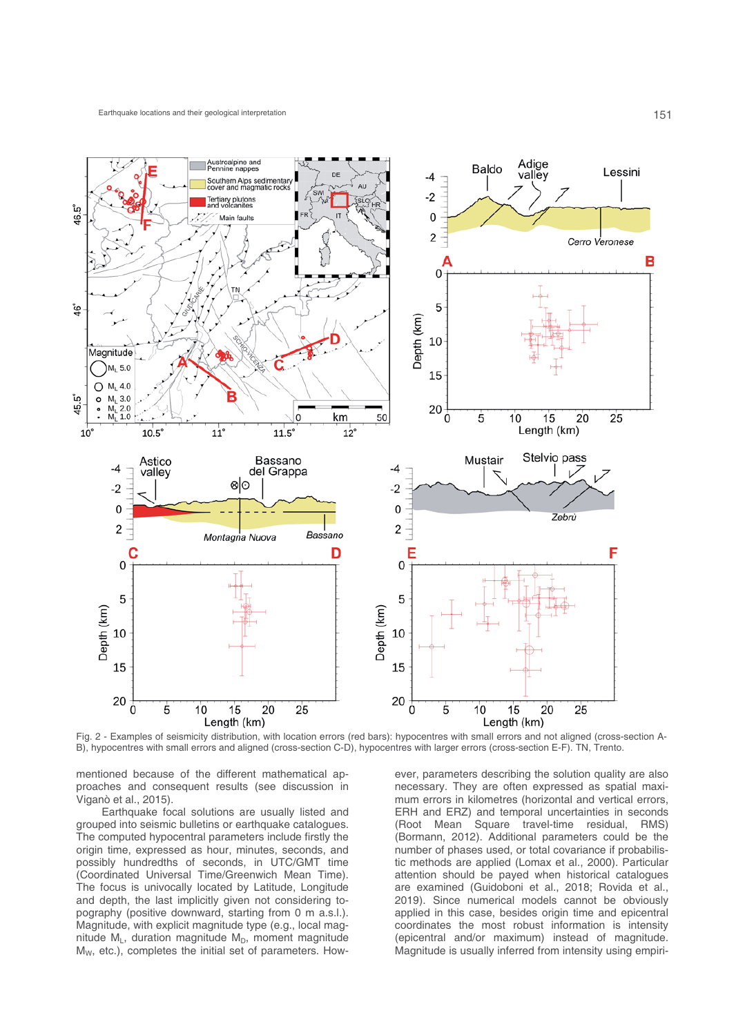

Fig. 2 - Examples of seismicity distribution, with location errors (red bars): hypocentres with small errors and not aligned (cross-section A-B), hypocentres with small errors and aligned (cross-section C-D), hypocentres with larger errors (cross-section E-F). TN, Trento.

mentioned because of the different mathematical approaches and consequent results (see discussion in Viganò et al., 2015).

Earthquake focal solutions are usually listed and grouped into seismic bulletins or earthquake catalogues. The computed hypocentral parameters include firstly the origin time, expressed as hour, minutes, seconds, and possibly hundredths of seconds, in UTC/GMT time (Coordinated Universal Time/Greenwich Mean Time). The focus is univocally located by Latitude, Longitude and depth, the last implicitly given not considering topography (positive downward, starting from 0 m a.s.l.). Magnitude, with explicit magnitude type (e.g., local magnitude  $M_L$ , duration magnitude  $M_D$ , moment magnitude MW, etc.), completes the initial set of parameters. However, parameters describing the solution quality are also necessary. They are often expressed as spatial maximum errors in kilometres (horizontal and vertical errors, ERH and ERZ) and temporal uncertainties in seconds (Root Mean Square travel-time residual, RMS) (Bormann, 2012). Additional parameters could be the number of phases used, or total covariance if probabilistic methods are applied (Lomax et al., 2000). Particular attention should be payed when historical catalogues are examined (Guidoboni et al., 2018; Rovida et al., 2019). Since numerical models cannot be obviously applied in this case, besides origin time and epicentral coordinates the most robust information is intensity (epicentral and/or maximum) instead of magnitude. Magnitude is usually inferred from intensity using empiri-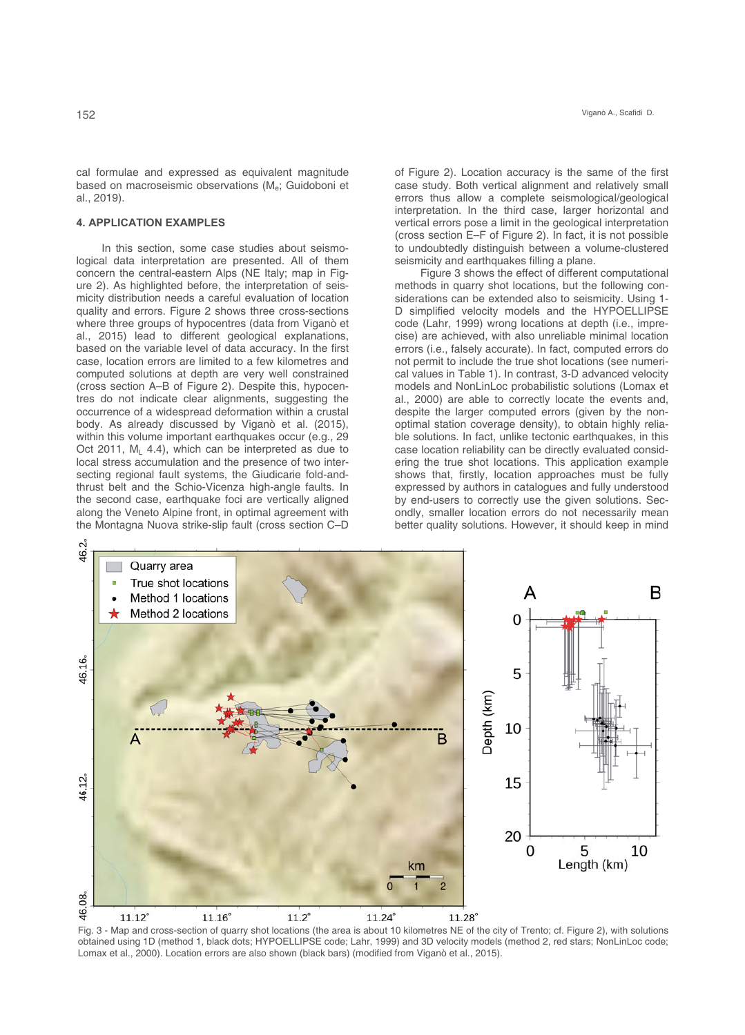cal formulae and expressed as equivalent magnitude based on macroseismic observations (M<sub>e</sub>; Guidoboni et al., 2019).

## **4. APPLICATION EXAMPLES**

In this section, some case studies about seismological data interpretation are presented. All of them concern the central-eastern Alps (NE Italy; map in Figure 2). As highlighted before, the interpretation of seismicity distribution needs a careful evaluation of location quality and errors. Figure 2 shows three cross-sections where three groups of hypocentres (data from Viganò et al., 2015) lead to different geological explanations, based on the variable level of data accuracy. In the first case, location errors are limited to a few kilometres and computed solutions at depth are very well constrained (cross section A–B of Figure 2). Despite this, hypocentres do not indicate clear alignments, suggesting the occurrence of a widespread deformation within a crustal body. As already discussed by Viganò et al. (2015), within this volume important earthquakes occur (e.g., 29 Oct 2011,  $M<sub>L</sub>$  4.4), which can be interpreted as due to local stress accumulation and the presence of two intersecting regional fault systems, the Giudicarie fold-andthrust belt and the Schio-Vicenza high-angle faults. In the second case, earthquake foci are vertically aligned along the Veneto Alpine front, in optimal agreement with the Montagna Nuova strike-slip fault (cross section C–D of Figure 2). Location accuracy is the same of the first case study. Both vertical alignment and relatively small errors thus allow a complete seismological/geological interpretation. In the third case, larger horizontal and vertical errors pose a limit in the geological interpretation (cross section E–F of Figure 2). In fact, it is not possible to undoubtedly distinguish between a volume-clustered seismicity and earthquakes filling a plane.

Viganò A., Scafidi, D.

Figure 3 shows the effect of different computational methods in quarry shot locations, but the following considerations can be extended also to seismicity. Using 1- D simplified velocity models and the HYPOELLIPSE code (Lahr, 1999) wrong locations at depth (i.e., imprecise) are achieved, with also unreliable minimal location errors (i.e., falsely accurate). In fact, computed errors do not permit to include the true shot locations (see numerical values in Table 1). In contrast, 3-D advanced velocity models and NonLinLoc probabilistic solutions (Lomax et al., 2000) are able to correctly locate the events and, despite the larger computed errors (given by the nonoptimal station coverage density), to obtain highly reliable solutions. In fact, unlike tectonic earthquakes, in this case location reliability can be directly evaluated considering the true shot locations. This application example shows that, firstly, location approaches must be fully expressed by authors in catalogues and fully understood by end-users to correctly use the given solutions. Secondly, smaller location errors do not necessarily mean better quality solutions. However, it should keep in mind



Fig. 3 - Map and cross-section of quarry shot locations (the area is about 10 kilometres NE of the city of Trento; cf. Figure 2), with solutions obtained using 1D (method 1, black dots; HYPOELLIPSE code; Lahr, 1999) and 3D velocity models (method 2, red stars; NonLinLoc code; Lomax et al., 2000). Location errors are also shown (black bars) (modified from Viganò et al., 2015).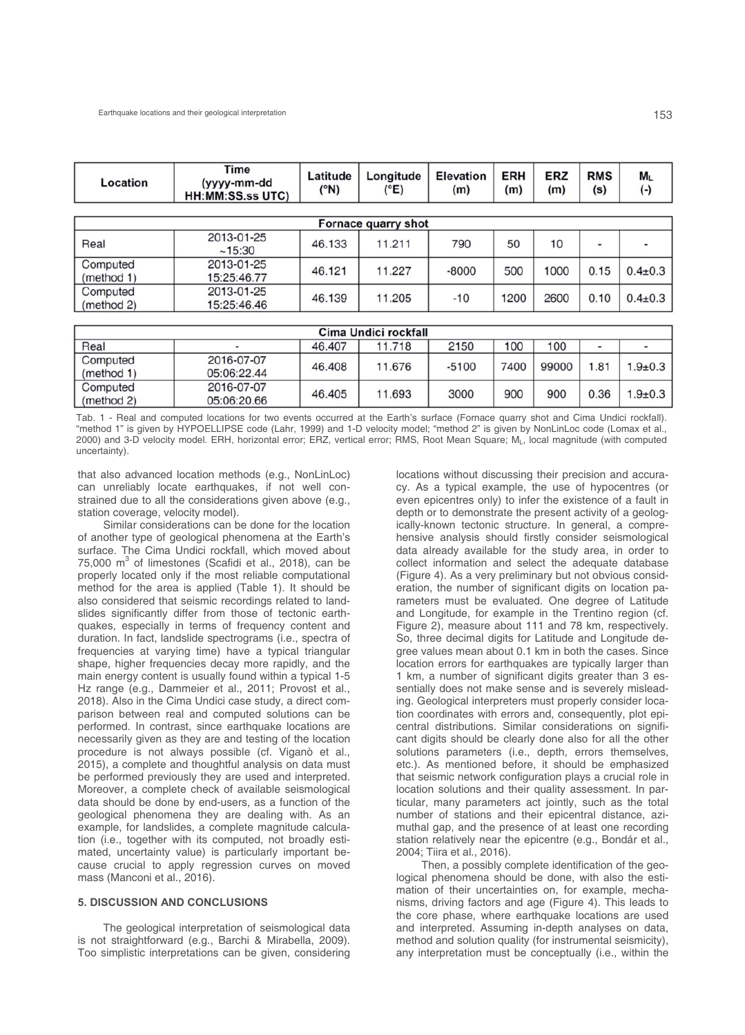| Location               | Time<br>(yyyy-mm-dd<br><b>HH:MM:SS.ss UTC)</b> | Latitude<br>(°N) | Longitude<br>(°E) | <b>Elevation</b><br>(m) | <b>ERH</b><br>(m) | <b>ERZ</b><br>(m) | <b>RMS</b><br>(s) | ML<br>$(\cdot)$ |  |
|------------------------|------------------------------------------------|------------------|-------------------|-------------------------|-------------------|-------------------|-------------------|-----------------|--|
| Fornace quarry shot    |                                                |                  |                   |                         |                   |                   |                   |                 |  |
| Real                   | 2013-01-25<br>~15:30                           | 46.133           | 11.211            | 790                     | 50                | 10                | ۰                 |                 |  |
| Computed<br>(method 1) | 2013-01-25<br>15:25:46.77                      | 46.121           | 11.227            | $-8000$                 | 500               | 1000              | 0.15              | $0.4 \pm 0.3$   |  |
| Computed<br>(method 2) | 2013-01-25<br>15:25:46.46                      | 46.139           | 11.205            | $-10$                   | 1200              | 2600              | 0.10              | $0.4 \pm 0.3$   |  |

| Cima Undici rockfall   |                           |        |        |         |      |       |                          |               |  |  |
|------------------------|---------------------------|--------|--------|---------|------|-------|--------------------------|---------------|--|--|
| Real                   |                           | 46.407 | 11.718 | 2150    | 100  | 100   | $\overline{\phantom{a}}$ | -             |  |  |
| Computed<br>(method 1) | 2016-07-07<br>05:06:22.44 | 46.408 | 11.676 | $-5100$ | 7400 | 99000 | .81                      | $1.9 \pm 0.3$ |  |  |
| Computed<br>(method 2) | 2016-07-07<br>05:06:20.66 | 46.405 | 11.693 | 3000    | 900  | 900   | 0.36                     | $1.9 \pm 0.3$ |  |  |

Tab. 1 - Real and computed locations for two events occurred at the Earth's surface (Fornace quarry shot and Cima Undici rockfall). "method 1" is given by HYPOELLIPSE code (Lahr, 1999) and 1-D velocity model; "method 2" is given by NonLinLoc code (Lomax et al., 2000) and 3-D velocity model. ERH, horizontal error; ERZ, vertical error; RMS, Root Mean Square; ML, local magnitude (with computed uncertainty).

that also advanced location methods (e.g., NonLinLoc) can unreliably locate earthquakes, if not well constrained due to all the considerations given above (e.g., station coverage, velocity model).

Similar considerations can be done for the location of another type of geological phenomena at the Earth's surface. The Cima Undici rockfall, which moved about 75,000  $m^3$  of limestones (Scafidi et al., 2018), can be properly located only if the most reliable computational method for the area is applied (Table 1). It should be also considered that seismic recordings related to landslides significantly differ from those of tectonic earthquakes, especially in terms of frequency content and duration. In fact, landslide spectrograms (i.e., spectra of frequencies at varying time) have a typical triangular shape, higher frequencies decay more rapidly, and the main energy content is usually found within a typical 1-5 Hz range (e.g., Dammeier et al., 2011; Provost et al., 2018). Also in the Cima Undici case study, a direct comparison between real and computed solutions can be performed. In contrast, since earthquake locations are necessarily given as they are and testing of the location procedure is not always possible (cf. Viganò et al., 2015), a complete and thoughtful analysis on data must be performed previously they are used and interpreted. Moreover, a complete check of available seismological data should be done by end-users, as a function of the geological phenomena they are dealing with. As an example, for landslides, a complete magnitude calculation (i.e., together with its computed, not broadly estimated, uncertainty value) is particularly important because crucial to apply regression curves on moved mass (Manconi et al., 2016).

### **5. DISCUSSION AND CONCLUSIONS**

The geological interpretation of seismological data is not straightforward (e.g., Barchi & Mirabella, 2009). Too simplistic interpretations can be given, considering

locations without discussing their precision and accuracy. As a typical example, the use of hypocentres (or even epicentres only) to infer the existence of a fault in depth or to demonstrate the present activity of a geologically-known tectonic structure. In general, a comprehensive analysis should firstly consider seismological data already available for the study area, in order to collect information and select the adequate database (Figure 4). As a very preliminary but not obvious consideration, the number of significant digits on location parameters must be evaluated. One degree of Latitude and Longitude, for example in the Trentino region (cf. Figure 2), measure about 111 and 78 km, respectively. So, three decimal digits for Latitude and Longitude degree values mean about 0.1 km in both the cases. Since location errors for earthquakes are typically larger than 1 km, a number of significant digits greater than 3 essentially does not make sense and is severely misleading. Geological interpreters must properly consider location coordinates with errors and, consequently, plot epicentral distributions. Similar considerations on significant digits should be clearly done also for all the other solutions parameters (i.e., depth, errors themselves, etc.). As mentioned before, it should be emphasized that seismic network configuration plays a crucial role in location solutions and their quality assessment. In particular, many parameters act jointly, such as the total number of stations and their epicentral distance, azimuthal gap, and the presence of at least one recording station relatively near the epicentre (e.g., Bondár et al., 2004; Tiira et al., 2016).

Then, a possibly complete identification of the geological phenomena should be done, with also the estimation of their uncertainties on, for example, mechanisms, driving factors and age (Figure 4). This leads to the core phase, where earthquake locations are used and interpreted. Assuming in-depth analyses on data, method and solution quality (for instrumental seismicity), any interpretation must be conceptually (i.e., within the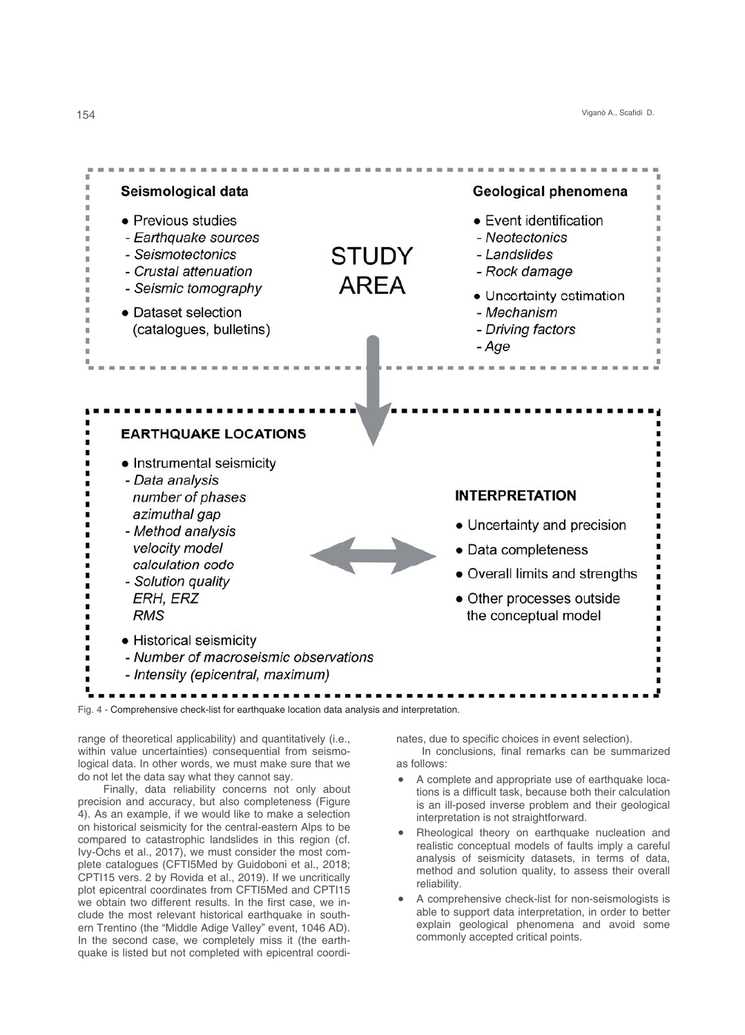Viganò A., Scafidi, D.



Fig. 4 - Comprehensive check-list for earthquake location data analysis and interpretation.

range of theoretical applicability) and quantitatively (i.e., within value uncertainties) consequential from seismological data. In other words, we must make sure that we do not let the data say what they cannot say.

Finally, data reliability concerns not only about precision and accuracy, but also completeness (Figure 4). As an example, if we would like to make a selection on historical seismicity for the central-eastern Alps to be compared to catastrophic landslides in this region (cf. Ivy-Ochs et al., 2017), we must consider the most complete catalogues (CFTI5Med by Guidoboni et al., 2018; CPTI15 vers. 2 by Rovida et al., 2019). If we uncritically plot epicentral coordinates from CFTI5Med and CPTI15 we obtain two different results. In the first case, we include the most relevant historical earthquake in southern Trentino (the "Middle Adige Valley" event, 1046 AD). In the second case, we completely miss it (the earthquake is listed but not completed with epicentral coordinates, due to specific choices in event selection). In conclusions, final remarks can be summarized as follows:

- A complete and appropriate use of earthquake locations is a difficult task, because both their calculation is an ill-posed inverse problem and their geological interpretation is not straightforward.
- Rheological theory on earthquake nucleation and realistic conceptual models of faults imply a careful analysis of seismicity datasets, in terms of data, method and solution quality, to assess their overall reliability.
- A comprehensive check-list for non-seismologists is able to support data interpretation, in order to better explain geological phenomena and avoid some commonly accepted critical points.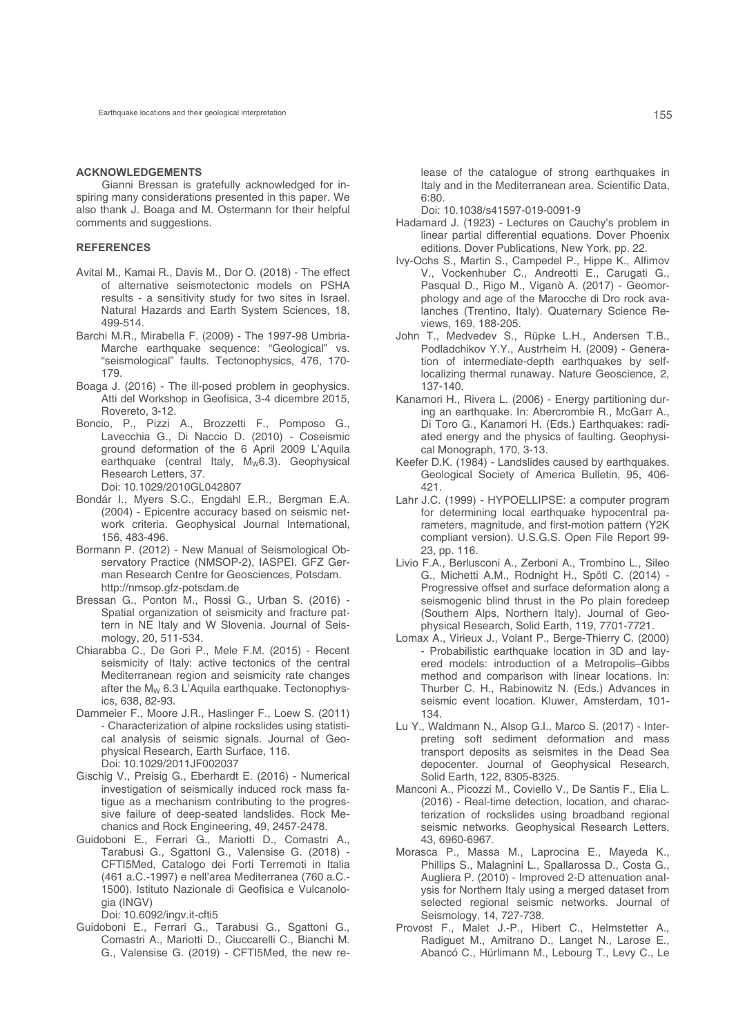#### **ACKNOWLEDGEMENTS**

Gianni Bressan is gratefully acknowledged for inspiring many considerations presented in this paper. We also thank J. Boaga and M. Ostermann for their helpful comments and suggestions.

### **REFERENCES**

- Avital M., Kamai R., Davis M., Dor O. (2018) The effect of alternative seismotectonic models on PSHA results - a sensitivity study for two sites in Israel. Natural Hazards and Earth System Sciences, 18, 499-514.
- Barchi M.R., Mirabella F. (2009) The 1997-98 Umbria-Marche earthquake sequence: "Geological" vs. "seismological" faults. Tectonophysics, 476, 170- 179.
- Boaga J. (2016) The ill-posed problem in geophysics. Atti del Workshop in Geofisica, 3-4 dicembre 2015, Rovereto, 3-12.
- Boncio, P., Pizzi A., Brozzetti F., Pomposo G., Lavecchia G., Di Naccio D. (2010) - Coseismic ground deformation of the 6 April 2009 L'Aquila earthquake (central Italy,  $M_w$ 6.3). Geophysical Research Letters, 37. Doi: 10.1029/2010GL042807
- Bondár I., Myers S.C., Engdahl E.R., Bergman E.A. (2004) - Epicentre accuracy based on seismic net-
- work criteria. Geophysical Journal International, 156, 483-496.
- Bormann P. (2012) New Manual of Seismological Observatory Practice (NMSOP-2), IASPEI. GFZ German Research Centre for Geosciences, Potsdam. http://nmsop.gfz-potsdam.de
- Bressan G., Ponton M., Rossi G., Urban S. (2016) Spatial organization of seismicity and fracture pattern in NE Italy and W Slovenia. Journal of Seismology, 20, 511-534.
- Chiarabba C., De Gori P., Mele F.M. (2015) Recent seismicity of Italy: active tectonics of the central Mediterranean region and seismicity rate changes after the  $M_W$  6.3 L'Aquila earthquake. Tectonophysics, 638, 82-93.
- Dammeier F., Moore J.R., Haslinger F., Loew S. (2011) - Characterization of alpine rockslides using statistical analysis of seismic signals. Journal of Geophysical Research, Earth Surface, 116. Doi: 10.1029/2011JF002037
- Gischig V., Preisig G., Eberhardt E. (2016) Numerical investigation of seismically induced rock mass fatigue as a mechanism contributing to the progressive failure of deep-seated landslides. Rock Mechanics and Rock Engineering, 49, 2457-2478.
- Guidoboni E., Ferrari G., Mariotti D., Comastri A., Tarabusi G., Sgattoni G., Valensise G. (2018) - CFTI5Med, Catalogo dei Forti Terremoti in Italia (461 a.C.-1997) e nell'area Mediterranea (760 a.C.- 1500). Istituto Nazionale di Geofisica e Vulcanologia (INGV)

Doi: 10.6092/ingv.it-cfti5

Guidoboni E., Ferrari G., Tarabusi G., Sgattoni G., Comastri A., Mariotti D., Ciuccarelli C., Bianchi M. G., Valensise G. (2019) - CFTI5Med, the new re-

 lease of the catalogue of strong earthquakes in Italy and in the Mediterranean area. Scientific Data, 6:80.

Doi: 10.1038/s41597-019-0091-9

- Hadamard J. (1923) Lectures on Cauchy's problem in linear partial differential equations. Dover Phoenix editions. Dover Publications, New York, pp. 22.
- Ivy-Ochs S., Martin S., Campedel P., Hippe K., Alfimov V., Vockenhuber C., Andreotti E., Carugati G., Pasqual D., Rigo M., Viganò A. (2017) - Geomorphology and age of the Marocche di Dro rock avalanches (Trentino, Italy). Quaternary Science Reviews, 169, 188-205.
- John T., Medvedev S., Rüpke L.H., Andersen T.B., Podladchikov Y.Y., Austrheim H. (2009) - Generation of intermediate-depth earthquakes by selflocalizing thermal runaway. Nature Geoscience, 2, 137-140.
- Kanamori H., Rivera L. (2006) Energy partitioning during an earthquake. In: Abercrombie R., McGarr A., Di Toro G., Kanamori H. (Eds.) Earthquakes: radiated energy and the physics of faulting. Geophysical Monograph, 170, 3-13.
- Keefer D.K. (1984) Landslides caused by earthquakes. Geological Society of America Bulletin, 95, 406- 421.
- Lahr J.C. (1999) HYPOELLIPSE: a computer program for determining local earthquake hypocentral parameters, magnitude, and first-motion pattern (Y2K compliant version). U.S.G.S. Open File Report 99- 23, pp. 116.
- Livio F.A., Berlusconi A., Zerboni A., Trombino L., Sileo G., Michetti A.M., Rodnight H., Spötl C. (2014) - Progressive offset and surface deformation along a seismogenic blind thrust in the Po plain foredeep (Southern Alps, Northern Italy). Journal of Geophysical Research, Solid Earth, 119, 7701-7721.
- Lomax A., Virieux J., Volant P., Berge-Thierry C. (2000) - Probabilistic earthquake location in 3D and layered models: introduction of a Metropolis–Gibbs method and comparison with linear locations. In: Thurber C. H., Rabinowitz N. (Eds.) Advances in seismic event location. Kluwer, Amsterdam, 101- 134.
- Lu Y., Waldmann N., Alsop G.I., Marco S. (2017) Interpreting soft sediment deformation and mass transport deposits as seismites in the Dead Sea depocenter. Journal of Geophysical Research, Solid Earth, 122, 8305-8325.
- Manconi A., Picozzi M., Coviello V., De Santis F., Elia L. (2016) - Real-time detection, location, and characterization of rockslides using broadband regional seismic networks. Geophysical Research Letters, 43, 6960-6967.
- Morasca P., Massa M., Laprocina E., Mayeda K., Phillips S., Malagnini L., Spallarossa D., Costa G., Augliera P. (2010) - Improved 2-D attenuation analysis for Northern Italy using a merged dataset from selected regional seismic networks. Journal of Seismology, 14, 727-738.
- Provost F., Malet J.-P., Hibert C., Helmstetter A., Radiguet M., Amitrano D., Langet N., Larose E., Abancó C., Hürlimann M., Lebourg T., Levy C., Le